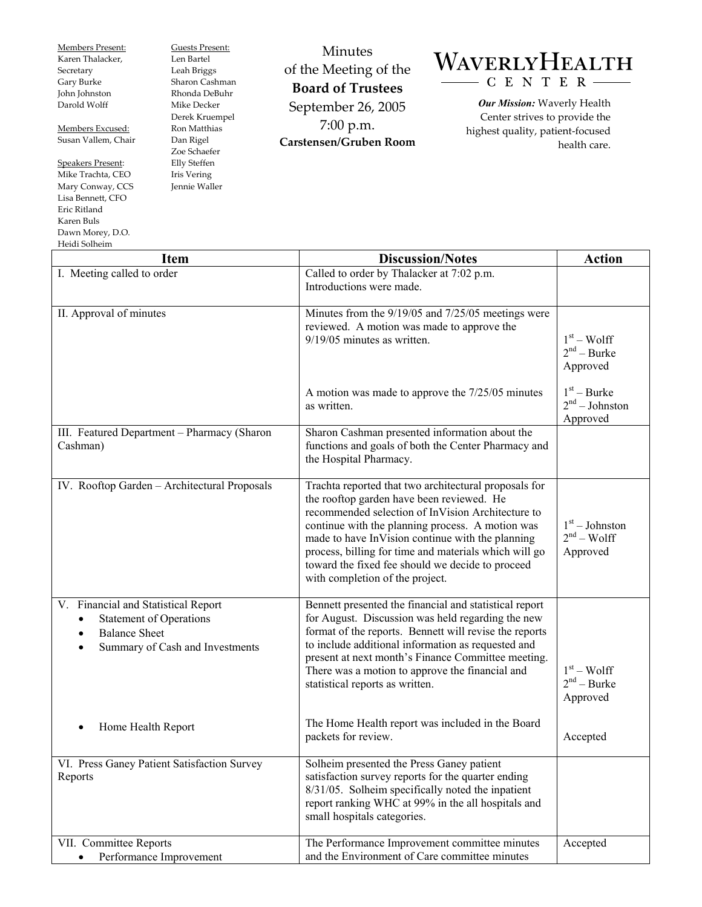Members Present: Karen Thalacker, Secretary Gary Burke John Johnston Darold Wolff

Members Excused: Susan Vallem, Chair

Speakers Present: Mike Trachta, CEO Mary Conway, CCS Lisa Bennett, CFO Eric Ritland Karen Buls Dawn Morey, D.O. Heidi Solheim

Guests Present: Len Bartel Leah Briggs Sharon Cashman Rhonda DeBuhr Mike Decker Derek Kruempel Ron Matthias Dan Rigel Zoe Schaefer Elly Steffen Iris Vering Jennie Waller

Minutes of the Meeting of the **Board of Trustees**  September 26, 2005 7:00 p.m. **Carstensen/Gruben Room** 

## WAVERLYHEALTH - C E N T E R

*Our Mission:* Waverly Health Center strives to provide the highest quality, patient-focused health care.

| пски эмпешт<br><b>Item</b>                                                                                                       | <b>Discussion/Notes</b>                                                                                                                                                                                                                                                                                                                                                                                         | <b>Action</b>                                 |
|----------------------------------------------------------------------------------------------------------------------------------|-----------------------------------------------------------------------------------------------------------------------------------------------------------------------------------------------------------------------------------------------------------------------------------------------------------------------------------------------------------------------------------------------------------------|-----------------------------------------------|
| I. Meeting called to order                                                                                                       | Called to order by Thalacker at 7:02 p.m.                                                                                                                                                                                                                                                                                                                                                                       |                                               |
|                                                                                                                                  | Introductions were made.                                                                                                                                                                                                                                                                                                                                                                                        |                                               |
| II. Approval of minutes                                                                                                          | Minutes from the 9/19/05 and 7/25/05 meetings were<br>reviewed. A motion was made to approve the<br>9/19/05 minutes as written.                                                                                                                                                                                                                                                                                 | $1st - Wolf$<br>$2nd - Burke$<br>Approved     |
|                                                                                                                                  | A motion was made to approve the 7/25/05 minutes<br>as written.                                                                                                                                                                                                                                                                                                                                                 | $1st - Burke$<br>$2nd - Johnston$<br>Approved |
| III. Featured Department - Pharmacy (Sharon<br>Cashman)                                                                          | Sharon Cashman presented information about the<br>functions and goals of both the Center Pharmacy and<br>the Hospital Pharmacy.                                                                                                                                                                                                                                                                                 |                                               |
| IV. Rooftop Garden - Architectural Proposals                                                                                     | Trachta reported that two architectural proposals for<br>the rooftop garden have been reviewed. He<br>recommended selection of InVision Architecture to<br>continue with the planning process. A motion was<br>made to have InVision continue with the planning<br>process, billing for time and materials which will go<br>toward the fixed fee should we decide to proceed<br>with completion of the project. | $1st - Johnston$<br>$2nd - Wolf$<br>Approved  |
| V. Financial and Statistical Report<br><b>Statement of Operations</b><br><b>Balance Sheet</b><br>Summary of Cash and Investments | Bennett presented the financial and statistical report<br>for August. Discussion was held regarding the new<br>format of the reports. Bennett will revise the reports<br>to include additional information as requested and<br>present at next month's Finance Committee meeting.<br>There was a motion to approve the financial and<br>statistical reports as written.                                         | $1st - Wolf$<br>$2nd - Burke$<br>Approved     |
| Home Health Report                                                                                                               | The Home Health report was included in the Board<br>packets for review.                                                                                                                                                                                                                                                                                                                                         | Accepted                                      |
| VI. Press Ganey Patient Satisfaction Survey<br>Reports                                                                           | Solheim presented the Press Ganey patient<br>satisfaction survey reports for the quarter ending<br>8/31/05. Solheim specifically noted the inpatient<br>report ranking WHC at 99% in the all hospitals and<br>small hospitals categories.                                                                                                                                                                       |                                               |
| VII. Committee Reports<br>Performance Improvement<br>$\bullet$                                                                   | The Performance Improvement committee minutes<br>and the Environment of Care committee minutes                                                                                                                                                                                                                                                                                                                  | Accepted                                      |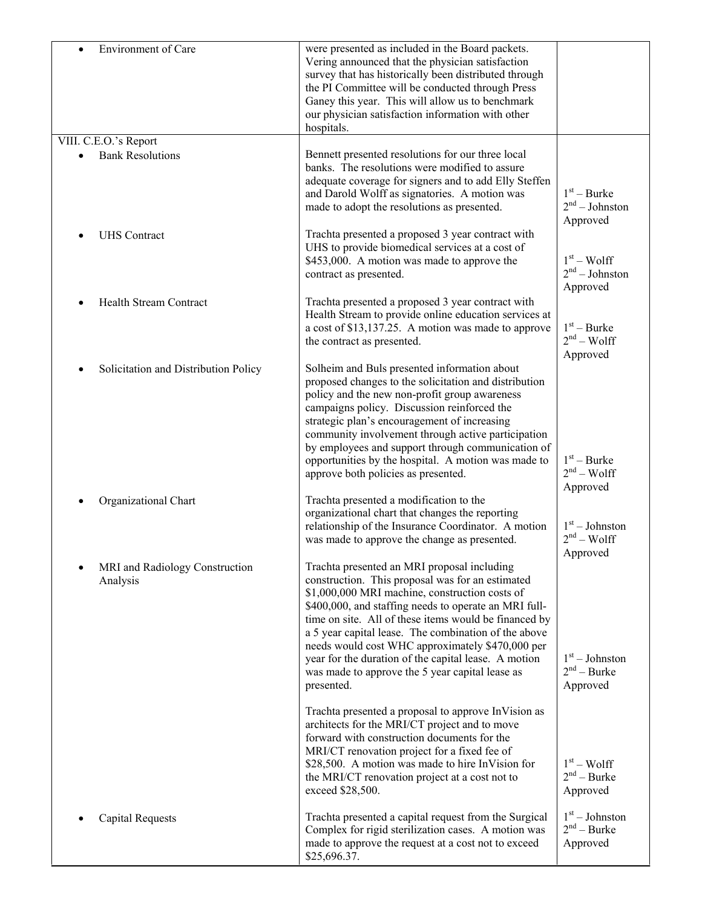| Environment of Care                        | were presented as included in the Board packets.<br>Vering announced that the physician satisfaction<br>survey that has historically been distributed through<br>the PI Committee will be conducted through Press<br>Ganey this year. This will allow us to benchmark<br>our physician satisfaction information with other<br>hospitals.                                                                                                                                                                 |                                               |
|--------------------------------------------|----------------------------------------------------------------------------------------------------------------------------------------------------------------------------------------------------------------------------------------------------------------------------------------------------------------------------------------------------------------------------------------------------------------------------------------------------------------------------------------------------------|-----------------------------------------------|
| VIII. C.E.O.'s Report                      |                                                                                                                                                                                                                                                                                                                                                                                                                                                                                                          |                                               |
| <b>Bank Resolutions</b>                    | Bennett presented resolutions for our three local<br>banks. The resolutions were modified to assure<br>adequate coverage for signers and to add Elly Steffen<br>and Darold Wolff as signatories. A motion was<br>made to adopt the resolutions as presented.                                                                                                                                                                                                                                             | $1st - Burke$<br>$2nd - Johnston$<br>Approved |
| <b>UHS</b> Contract                        | Trachta presented a proposed 3 year contract with<br>UHS to provide biomedical services at a cost of<br>\$453,000. A motion was made to approve the<br>contract as presented.                                                                                                                                                                                                                                                                                                                            | $1st - Wolf$<br>$2nd - Johnston$              |
|                                            |                                                                                                                                                                                                                                                                                                                                                                                                                                                                                                          | Approved                                      |
| <b>Health Stream Contract</b>              | Trachta presented a proposed 3 year contract with<br>Health Stream to provide online education services at<br>a cost of \$13,137.25. A motion was made to approve<br>the contract as presented.                                                                                                                                                                                                                                                                                                          | $1st - Burke$<br>$2nd - Wolf$<br>Approved     |
| Solicitation and Distribution Policy       | Solheim and Buls presented information about<br>proposed changes to the solicitation and distribution<br>policy and the new non-profit group awareness<br>campaigns policy. Discussion reinforced the<br>strategic plan's encouragement of increasing<br>community involvement through active participation<br>by employees and support through communication of<br>opportunities by the hospital. A motion was made to<br>approve both policies as presented.                                           | $1st - Burke$<br>$2nd - Wolf$<br>Approved     |
| Organizational Chart                       | Trachta presented a modification to the<br>organizational chart that changes the reporting<br>relationship of the Insurance Coordinator. A motion<br>was made to approve the change as presented.                                                                                                                                                                                                                                                                                                        | $1st - Johnston$<br>$2nd - Wolf$<br>Approved  |
| MRI and Radiology Construction<br>Analysis | Trachta presented an MRI proposal including<br>construction. This proposal was for an estimated<br>\$1,000,000 MRI machine, construction costs of<br>\$400,000, and staffing needs to operate an MRI full-<br>time on site. All of these items would be financed by<br>a 5 year capital lease. The combination of the above<br>needs would cost WHC approximately \$470,000 per<br>year for the duration of the capital lease. A motion<br>was made to approve the 5 year capital lease as<br>presented. | $1st - Johnston$<br>$2nd - Burke$<br>Approved |
|                                            | Trachta presented a proposal to approve InVision as<br>architects for the MRI/CT project and to move<br>forward with construction documents for the<br>MRI/CT renovation project for a fixed fee of<br>\$28,500. A motion was made to hire InVision for<br>the MRI/CT renovation project at a cost not to<br>exceed \$28,500.                                                                                                                                                                            | $1st - Wolf$<br>$2nd - Burke$<br>Approved     |
| <b>Capital Requests</b>                    | Trachta presented a capital request from the Surgical<br>Complex for rigid sterilization cases. A motion was<br>made to approve the request at a cost not to exceed<br>\$25,696.37.                                                                                                                                                                                                                                                                                                                      | $1st - Johnston$<br>$2nd - Burke$<br>Approved |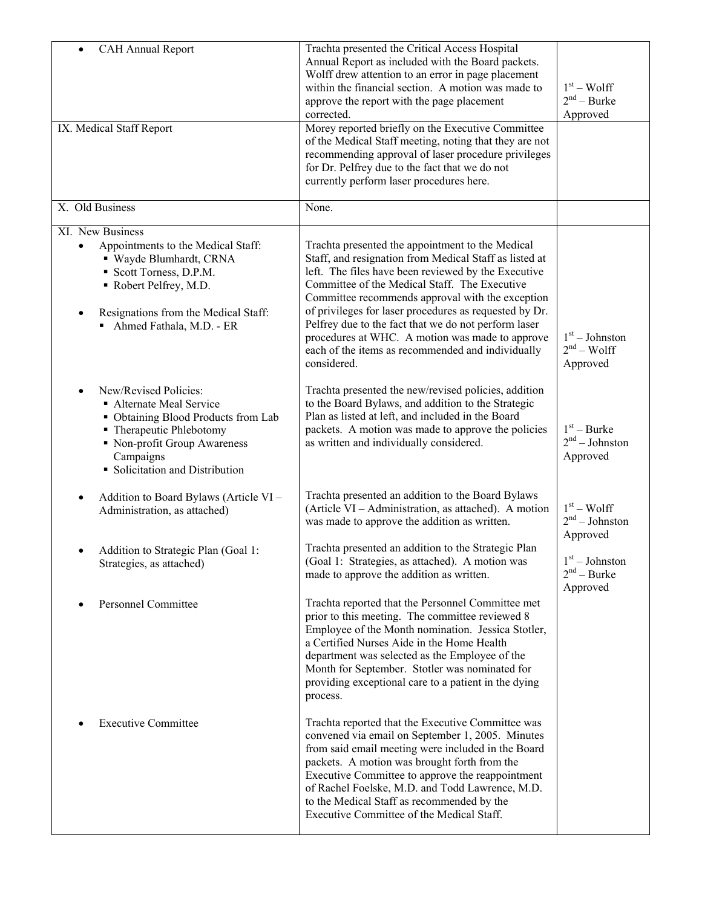| <b>CAH Annual Report</b><br>$\bullet$<br>IX. Medical Staff Report                                                                                                                                                                | Trachta presented the Critical Access Hospital<br>Annual Report as included with the Board packets.<br>Wolff drew attention to an error in page placement<br>within the financial section. A motion was made to<br>approve the report with the page placement<br>corrected.<br>Morey reported briefly on the Executive Committee<br>of the Medical Staff meeting, noting that they are not<br>recommending approval of laser procedure privileges                                                               | $1st - Wolf$<br>$2nd - Burke$<br>Approved     |
|----------------------------------------------------------------------------------------------------------------------------------------------------------------------------------------------------------------------------------|-----------------------------------------------------------------------------------------------------------------------------------------------------------------------------------------------------------------------------------------------------------------------------------------------------------------------------------------------------------------------------------------------------------------------------------------------------------------------------------------------------------------|-----------------------------------------------|
|                                                                                                                                                                                                                                  | for Dr. Pelfrey due to the fact that we do not<br>currently perform laser procedures here.                                                                                                                                                                                                                                                                                                                                                                                                                      |                                               |
| X. Old Business                                                                                                                                                                                                                  | None.                                                                                                                                                                                                                                                                                                                                                                                                                                                                                                           |                                               |
| XI. New Business<br>Appointments to the Medical Staff:<br>$\bullet$<br>· Wayde Blumhardt, CRNA<br>Scott Torness, D.P.M.<br>Robert Pelfrey, M.D.<br>Resignations from the Medical Staff:<br>$\bullet$<br>Ahmed Fathala, M.D. - ER | Trachta presented the appointment to the Medical<br>Staff, and resignation from Medical Staff as listed at<br>left. The files have been reviewed by the Executive<br>Committee of the Medical Staff. The Executive<br>Committee recommends approval with the exception<br>of privileges for laser procedures as requested by Dr.<br>Pelfrey due to the fact that we do not perform laser<br>procedures at WHC. A motion was made to approve<br>each of the items as recommended and individually<br>considered. | $1st - Johnston$<br>$2nd - Wolf$<br>Approved  |
| New/Revised Policies:<br>• Alternate Meal Service<br>• Obtaining Blood Products from Lab<br>• Therapeutic Phlebotomy<br>• Non-profit Group Awareness<br>Campaigns<br>• Solicitation and Distribution                             | Trachta presented the new/revised policies, addition<br>to the Board Bylaws, and addition to the Strategic<br>Plan as listed at left, and included in the Board<br>packets. A motion was made to approve the policies<br>as written and individually considered.                                                                                                                                                                                                                                                | $1st - Burke$<br>$2nd - Johnston$<br>Approved |
| Addition to Board Bylaws (Article VI -<br>$\bullet$<br>Administration, as attached)                                                                                                                                              | Trachta presented an addition to the Board Bylaws<br>(Article VI – Administration, as attached). A motion<br>was made to approve the addition as written.                                                                                                                                                                                                                                                                                                                                                       | $1st - Wolf$<br>$2nd - Johnston$<br>Approved  |
| Addition to Strategic Plan (Goal 1:<br>Strategies, as attached)                                                                                                                                                                  | Trachta presented an addition to the Strategic Plan<br>(Goal 1: Strategies, as attached). A motion was<br>made to approve the addition as written.                                                                                                                                                                                                                                                                                                                                                              | $1st - Johnston$<br>$2nd - Burke$<br>Approved |
| <b>Personnel Committee</b>                                                                                                                                                                                                       | Trachta reported that the Personnel Committee met<br>prior to this meeting. The committee reviewed 8<br>Employee of the Month nomination. Jessica Stotler,<br>a Certified Nurses Aide in the Home Health<br>department was selected as the Employee of the<br>Month for September. Stotler was nominated for<br>providing exceptional care to a patient in the dying<br>process.                                                                                                                                |                                               |
| <b>Executive Committee</b>                                                                                                                                                                                                       | Trachta reported that the Executive Committee was<br>convened via email on September 1, 2005. Minutes<br>from said email meeting were included in the Board<br>packets. A motion was brought forth from the<br>Executive Committee to approve the reappointment<br>of Rachel Foelske, M.D. and Todd Lawrence, M.D.<br>to the Medical Staff as recommended by the<br>Executive Committee of the Medical Staff.                                                                                                   |                                               |